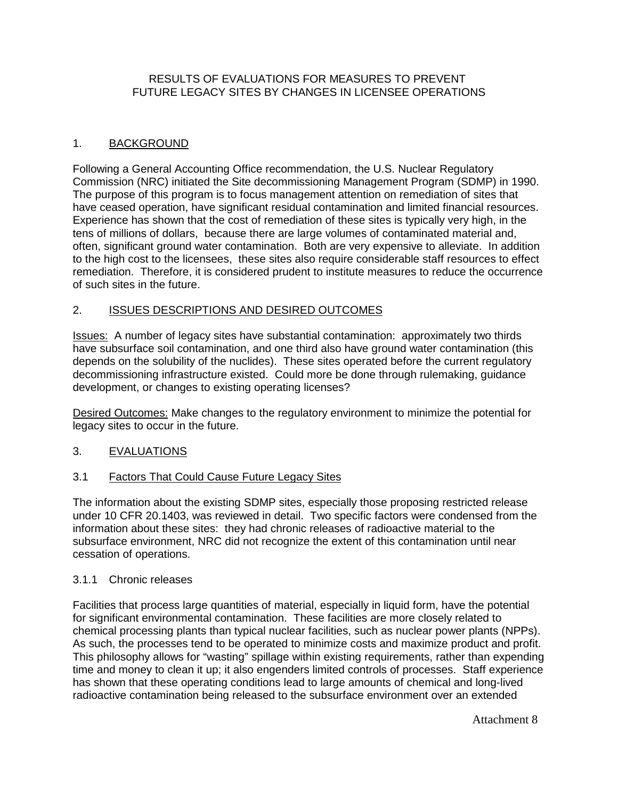## RESULTS OF EVALUATIONS FOR MEASURES TO PREVENT FUTURE LEGACY SITES BY CHANGES IN LICENSEE OPERATIONS

# 1. BACKGROUND

Following a General Accounting Office recommendation, the U.S. Nuclear Regulatory Commission (NRC) initiated the Site decommissioning Management Program (SDMP) in 1990. The purpose of this program is to focus management attention on remediation of sites that have ceased operation, have significant residual contamination and limited financial resources. Experience has shown that the cost of remediation of these sites is typically very high, in the tens of millions of dollars, because there are large volumes of contaminated material and, often, significant ground water contamination. Both are very expensive to alleviate. In addition to the high cost to the licensees, these sites also require considerable staff resources to effect remediation. Therefore, it is considered prudent to institute measures to reduce the occurrence of such sites in the future.

# 2. ISSUES DESCRIPTIONS AND DESIRED OUTCOMES

Issues: A number of legacy sites have substantial contamination: approximately two thirds have subsurface soil contamination, and one third also have ground water contamination (this depends on the solubility of the nuclides). These sites operated before the current regulatory decommissioning infrastructure existed. Could more be done through rulemaking, guidance development, or changes to existing operating licenses?

Desired Outcomes: Make changes to the regulatory environment to minimize the potential for legacy sites to occur in the future.

## 3. EVALUATIONS

## 3.1 Factors That Could Cause Future Legacy Sites

The information about the existing SDMP sites, especially those proposing restricted release under 10 CFR 20.1403, was reviewed in detail. Two specific factors were condensed from the information about these sites: they had chronic releases of radioactive material to the subsurface environment, NRC did not recognize the extent of this contamination until near cessation of operations.

## 3.1.1 Chronic releases

Facilities that process large quantities of material, especially in liquid form, have the potential for significant environmental contamination. These facilities are more closely related to chemical processing plants than typical nuclear facilities, such as nuclear power plants (NPPs). As such, the processes tend to be operated to minimize costs and maximize product and profit. This philosophy allows for "wasting" spillage within existing requirements, rather than expending time and money to clean it up; it also engenders limited controls of processes. Staff experience has shown that these operating conditions lead to large amounts of chemical and long-lived radioactive contamination being released to the subsurface environment over an extended

Attachment 8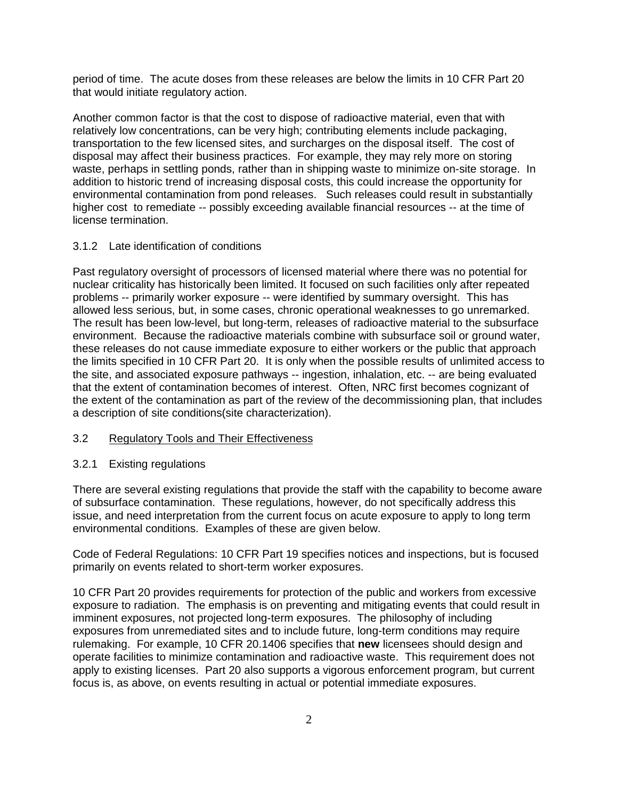period of time. The acute doses from these releases are below the limits in 10 CFR Part 20 that would initiate regulatory action.

Another common factor is that the cost to dispose of radioactive material, even that with relatively low concentrations, can be very high; contributing elements include packaging, transportation to the few licensed sites, and surcharges on the disposal itself. The cost of disposal may affect their business practices. For example, they may rely more on storing waste, perhaps in settling ponds, rather than in shipping waste to minimize on-site storage. In addition to historic trend of increasing disposal costs, this could increase the opportunity for environmental contamination from pond releases. Such releases could result in substantially higher cost to remediate -- possibly exceeding available financial resources -- at the time of license termination.

### 3.1.2 Late identification of conditions

Past regulatory oversight of processors of licensed material where there was no potential for nuclear criticality has historically been limited. It focused on such facilities only after repeated problems -- primarily worker exposure -- were identified by summary oversight. This has allowed less serious, but, in some cases, chronic operational weaknesses to go unremarked. The result has been low-level, but long-term, releases of radioactive material to the subsurface environment. Because the radioactive materials combine with subsurface soil or ground water, these releases do not cause immediate exposure to either workers or the public that approach the limits specified in 10 CFR Part 20. It is only when the possible results of unlimited access to the site, and associated exposure pathways -- ingestion, inhalation, etc. -- are being evaluated that the extent of contamination becomes of interest. Often, NRC first becomes cognizant of the extent of the contamination as part of the review of the decommissioning plan, that includes a description of site conditions(site characterization).

#### 3.2 Regulatory Tools and Their Effectiveness

#### 3.2.1 Existing regulations

There are several existing regulations that provide the staff with the capability to become aware of subsurface contamination. These regulations, however, do not specifically address this issue, and need interpretation from the current focus on acute exposure to apply to long term environmental conditions. Examples of these are given below.

Code of Federal Regulations: 10 CFR Part 19 specifies notices and inspections, but is focused primarily on events related to short-term worker exposures.

10 CFR Part 20 provides requirements for protection of the public and workers from excessive exposure to radiation. The emphasis is on preventing and mitigating events that could result in imminent exposures, not projected long-term exposures. The philosophy of including exposures from unremediated sites and to include future, long-term conditions may require rulemaking. For example, 10 CFR 20.1406 specifies that **new** licensees should design and operate facilities to minimize contamination and radioactive waste. This requirement does not apply to existing licenses. Part 20 also supports a vigorous enforcement program, but current focus is, as above, on events resulting in actual or potential immediate exposures.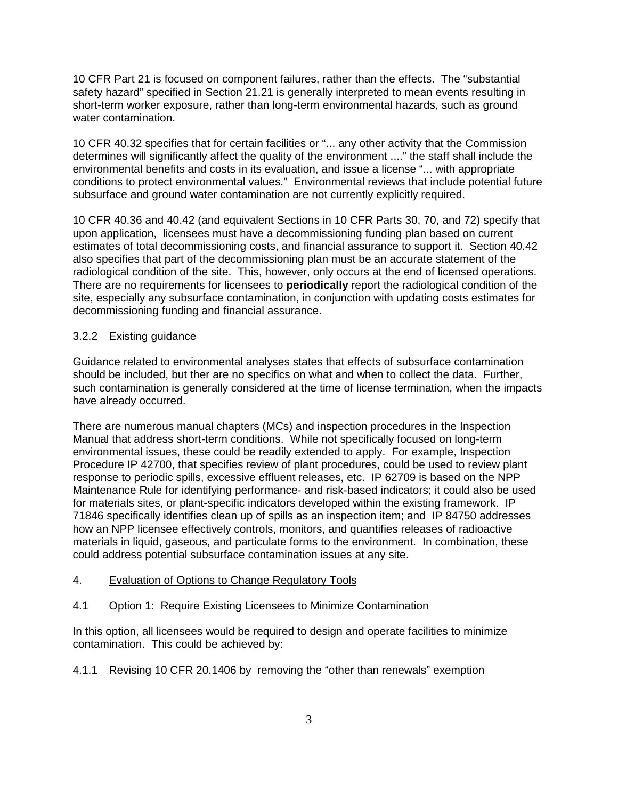10 CFR Part 21 is focused on component failures, rather than the effects. The "substantial safety hazard" specified in Section 21.21 is generally interpreted to mean events resulting in short-term worker exposure, rather than long-term environmental hazards, such as ground water contamination.

10 CFR 40.32 specifies that for certain facilities or "... any other activity that the Commission determines will significantly affect the quality of the environment ...." the staff shall include the environmental benefits and costs in its evaluation, and issue a license "... with appropriate conditions to protect environmental values." Environmental reviews that include potential future subsurface and ground water contamination are not currently explicitly required.

10 CFR 40.36 and 40.42 (and equivalent Sections in 10 CFR Parts 30, 70, and 72) specify that upon application, licensees must have a decommissioning funding plan based on current estimates of total decommissioning costs, and financial assurance to support it. Section 40.42 also specifies that part of the decommissioning plan must be an accurate statement of the radiological condition of the site. This, however, only occurs at the end of licensed operations. There are no requirements for licensees to **periodically** report the radiological condition of the site, especially any subsurface contamination, in conjunction with updating costs estimates for decommissioning funding and financial assurance.

## 3.2.2 Existing guidance

Guidance related to environmental analyses states that effects of subsurface contamination should be included, but ther are no specifics on what and when to collect the data. Further, such contamination is generally considered at the time of license termination, when the impacts have already occurred.

There are numerous manual chapters (MCs) and inspection procedures in the Inspection Manual that address short-term conditions. While not specifically focused on long-term environmental issues, these could be readily extended to apply. For example, Inspection Procedure IP 42700, that specifies review of plant procedures, could be used to review plant response to periodic spills, excessive effluent releases, etc. IP 62709 is based on the NPP Maintenance Rule for identifying performance- and risk-based indicators; it could also be used for materials sites, or plant-specific indicators developed within the existing framework. IP 71846 specifically identifies clean up of spills as an inspection item; and IP 84750 addresses how an NPP licensee effectively controls, monitors, and quantifies releases of radioactive materials in liquid, gaseous, and particulate forms to the environment. In combination, these could address potential subsurface contamination issues at any site.

### 4. Evaluation of Options to Change Regulatory Tools

4.1 Option 1: Require Existing Licensees to Minimize Contamination

In this option, all licensees would be required to design and operate facilities to minimize contamination. This could be achieved by:

4.1.1 Revising 10 CFR 20.1406 by removing the "other than renewals" exemption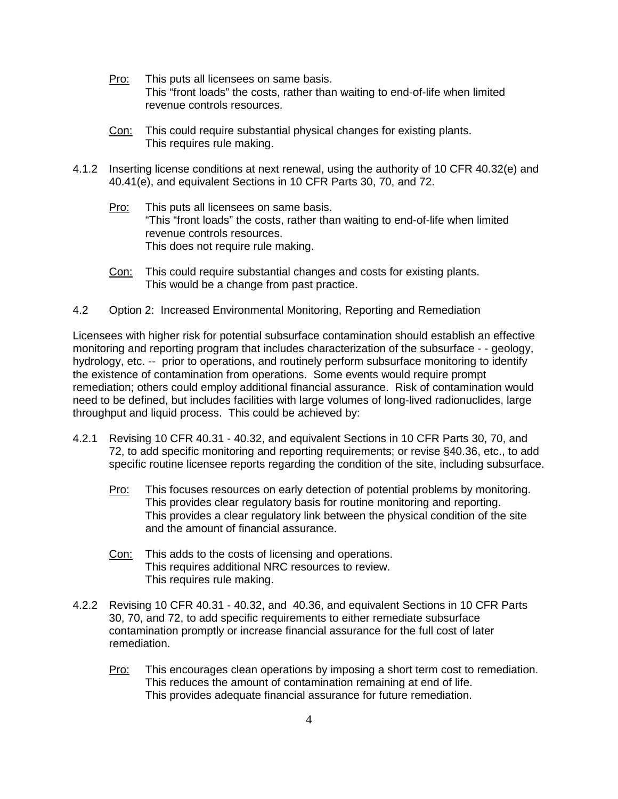- Pro: This puts all licensees on same basis. This "front loads" the costs, rather than waiting to end-of-life when limited revenue controls resources.
- Con: This could require substantial physical changes for existing plants. This requires rule making.
- 4.1.2 Inserting license conditions at next renewal, using the authority of 10 CFR 40.32(e) and 40.41(e), and equivalent Sections in 10 CFR Parts 30, 70, and 72.
	- Pro: This puts all licensees on same basis. "This "front loads" the costs, rather than waiting to end-of-life when limited revenue controls resources. This does not require rule making.
	- Con: This could require substantial changes and costs for existing plants. This would be a change from past practice.
- 4.2 Option 2: Increased Environmental Monitoring, Reporting and Remediation

Licensees with higher risk for potential subsurface contamination should establish an effective monitoring and reporting program that includes characterization of the subsurface - - geology, hydrology, etc. -- prior to operations, and routinely perform subsurface monitoring to identify the existence of contamination from operations. Some events would require prompt remediation; others could employ additional financial assurance. Risk of contamination would need to be defined, but includes facilities with large volumes of long-lived radionuclides, large throughput and liquid process. This could be achieved by:

- 4.2.1 Revising 10 CFR 40.31 40.32, and equivalent Sections in 10 CFR Parts 30, 70, and 72, to add specific monitoring and reporting requirements; or revise §40.36, etc., to add specific routine licensee reports regarding the condition of the site, including subsurface.
	- Pro: This focuses resources on early detection of potential problems by monitoring. This provides clear regulatory basis for routine monitoring and reporting. This provides a clear regulatory link between the physical condition of the site and the amount of financial assurance.
	- Con: This adds to the costs of licensing and operations. This requires additional NRC resources to review. This requires rule making.
- 4.2.2 Revising 10 CFR 40.31 40.32, and 40.36, and equivalent Sections in 10 CFR Parts 30, 70, and 72, to add specific requirements to either remediate subsurface contamination promptly or increase financial assurance for the full cost of later remediation.
	- Pro: This encourages clean operations by imposing a short term cost to remediation. This reduces the amount of contamination remaining at end of life. This provides adequate financial assurance for future remediation.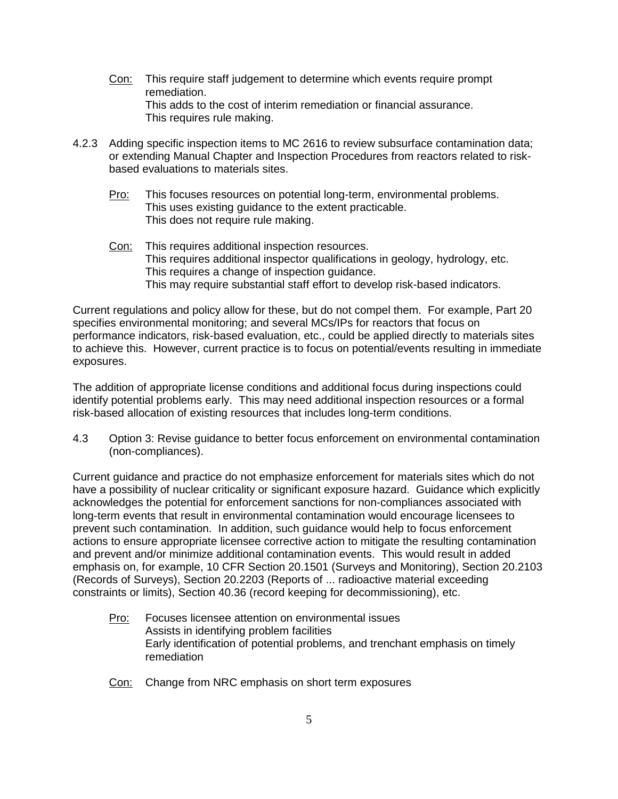- Con: This require staff judgement to determine which events require prompt remediation. This adds to the cost of interim remediation or financial assurance. This requires rule making.
- 4.2.3 Adding specific inspection items to MC 2616 to review subsurface contamination data; or extending Manual Chapter and Inspection Procedures from reactors related to riskbased evaluations to materials sites.
	- Pro: This focuses resources on potential long-term, environmental problems. This uses existing guidance to the extent practicable. This does not require rule making.
	- Con: This requires additional inspection resources. This requires additional inspector qualifications in geology, hydrology, etc. This requires a change of inspection guidance. This may require substantial staff effort to develop risk-based indicators.

Current regulations and policy allow for these, but do not compel them. For example, Part 20 specifies environmental monitoring; and several MCs/IPs for reactors that focus on performance indicators, risk-based evaluation, etc., could be applied directly to materials sites to achieve this. However, current practice is to focus on potential/events resulting in immediate exposures.

The addition of appropriate license conditions and additional focus during inspections could identify potential problems early. This may need additional inspection resources or a formal risk-based allocation of existing resources that includes long-term conditions.

4.3 Option 3: Revise guidance to better focus enforcement on environmental contamination (non-compliances).

Current guidance and practice do not emphasize enforcement for materials sites which do not have a possibility of nuclear criticality or significant exposure hazard. Guidance which explicitly acknowledges the potential for enforcement sanctions for non-compliances associated with long-term events that result in environmental contamination would encourage licensees to prevent such contamination. In addition, such guidance would help to focus enforcement actions to ensure appropriate licensee corrective action to mitigate the resulting contamination and prevent and/or minimize additional contamination events. This would result in added emphasis on, for example, 10 CFR Section 20.1501 (Surveys and Monitoring), Section 20.2103 (Records of Surveys), Section 20.2203 (Reports of ... radioactive material exceeding constraints or limits), Section 40.36 (record keeping for decommissioning), etc.

- Pro: Focuses licensee attention on environmental issues Assists in identifying problem facilities Early identification of potential problems, and trenchant emphasis on timely remediation
- Con: Change from NRC emphasis on short term exposures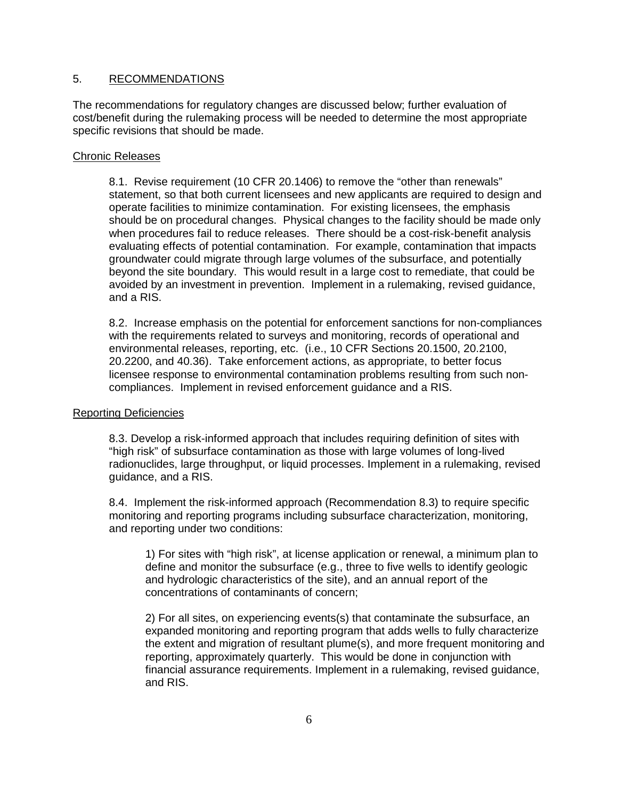### 5. RECOMMENDATIONS

The recommendations for regulatory changes are discussed below; further evaluation of cost/benefit during the rulemaking process will be needed to determine the most appropriate specific revisions that should be made.

#### Chronic Releases

8.1. Revise requirement (10 CFR 20.1406) to remove the "other than renewals" statement, so that both current licensees and new applicants are required to design and operate facilities to minimize contamination. For existing licensees, the emphasis should be on procedural changes. Physical changes to the facility should be made only when procedures fail to reduce releases. There should be a cost-risk-benefit analysis evaluating effects of potential contamination. For example, contamination that impacts groundwater could migrate through large volumes of the subsurface, and potentially beyond the site boundary. This would result in a large cost to remediate, that could be avoided by an investment in prevention. Implement in a rulemaking, revised guidance, and a RIS.

8.2. Increase emphasis on the potential for enforcement sanctions for non-compliances with the requirements related to surveys and monitoring, records of operational and environmental releases, reporting, etc. (i.e., 10 CFR Sections 20.1500, 20.2100, 20.2200, and 40.36). Take enforcement actions, as appropriate, to better focus licensee response to environmental contamination problems resulting from such noncompliances. Implement in revised enforcement guidance and a RIS.

### Reporting Deficiencies

8.3. Develop a risk-informed approach that includes requiring definition of sites with "high risk" of subsurface contamination as those with large volumes of long-lived radionuclides, large throughput, or liquid processes. Implement in a rulemaking, revised guidance, and a RIS.

8.4. Implement the risk-informed approach (Recommendation 8.3) to require specific monitoring and reporting programs including subsurface characterization, monitoring, and reporting under two conditions:

1) For sites with "high risk", at license application or renewal, a minimum plan to define and monitor the subsurface (e.g., three to five wells to identify geologic and hydrologic characteristics of the site), and an annual report of the concentrations of contaminants of concern;

2) For all sites, on experiencing events(s) that contaminate the subsurface, an expanded monitoring and reporting program that adds wells to fully characterize the extent and migration of resultant plume(s), and more frequent monitoring and reporting, approximately quarterly. This would be done in conjunction with financial assurance requirements. Implement in a rulemaking, revised guidance, and RIS.